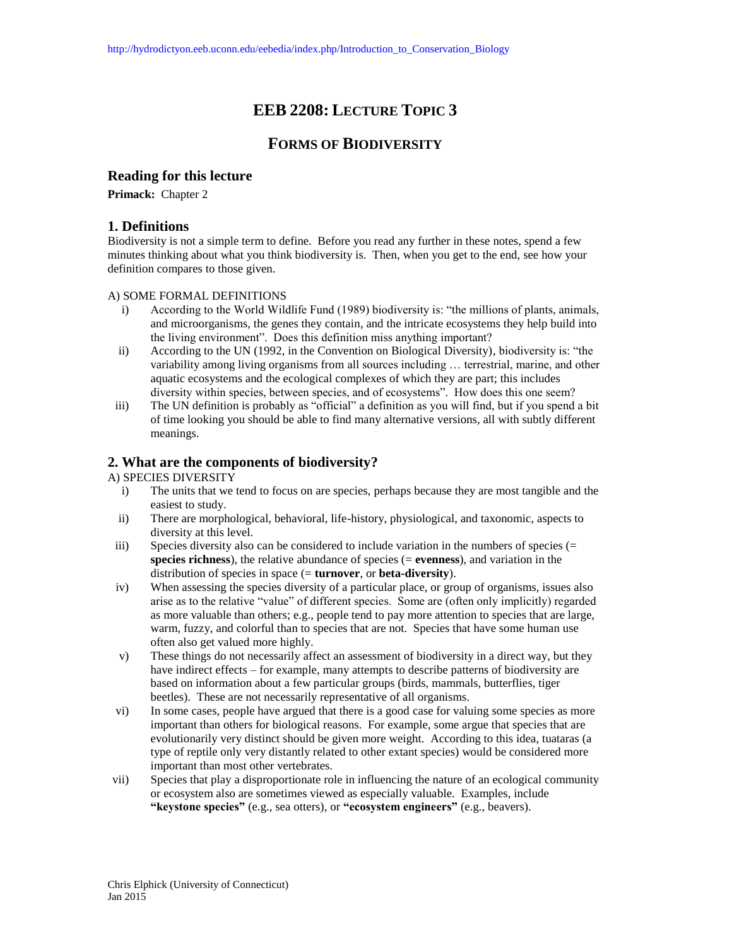# **EEB 2208: LECTURE TOPIC 3**

# **FORMS OF BIODIVERSITY**

## **Reading for this lecture**

**Primack:** Chapter 2

## **1. Definitions**

Biodiversity is not a simple term to define. Before you read any further in these notes, spend a few minutes thinking about what you think biodiversity is. Then, when you get to the end, see how your definition compares to those given.

#### A) SOME FORMAL DEFINITIONS

- i) According to the World Wildlife Fund (1989) biodiversity is: "the millions of plants, animals, and microorganisms, the genes they contain, and the intricate ecosystems they help build into the living environment". Does this definition miss anything important?
- ii) According to the UN (1992, in the Convention on Biological Diversity), biodiversity is: "the variability among living organisms from all sources including … terrestrial, marine, and other aquatic ecosystems and the ecological complexes of which they are part; this includes diversity within species, between species, and of ecosystems". How does this one seem?
- iii) The UN definition is probably as "official" a definition as you will find, but if you spend a bit of time looking you should be able to find many alternative versions, all with subtly different meanings.

# **2. What are the components of biodiversity?**

#### A) SPECIES DIVERSITY

- i) The units that we tend to focus on are species, perhaps because they are most tangible and the easiest to study.
- ii) There are morphological, behavioral, life-history, physiological, and taxonomic, aspects to diversity at this level.
- iii) Species diversity also can be considered to include variation in the numbers of species  $(=$ **species richness**), the relative abundance of species (= **evenness**), and variation in the distribution of species in space (= **turnover**, or **beta-diversity**).
- iv) When assessing the species diversity of a particular place, or group of organisms, issues also arise as to the relative "value" of different species. Some are (often only implicitly) regarded as more valuable than others; e.g., people tend to pay more attention to species that are large, warm, fuzzy, and colorful than to species that are not. Species that have some human use often also get valued more highly.
- v) These things do not necessarily affect an assessment of biodiversity in a direct way, but they have indirect effects – for example, many attempts to describe patterns of biodiversity are based on information about a few particular groups (birds, mammals, butterflies, tiger beetles). These are not necessarily representative of all organisms.
- vi) In some cases, people have argued that there is a good case for valuing some species as more important than others for biological reasons. For example, some argue that species that are evolutionarily very distinct should be given more weight. According to this idea, tuataras (a type of reptile only very distantly related to other extant species) would be considered more important than most other vertebrates.
- vii) Species that play a disproportionate role in influencing the nature of an ecological community or ecosystem also are sometimes viewed as especially valuable. Examples, include **"keystone species"** (e.g., sea otters), or **"ecosystem engineers"** (e.g., beavers).